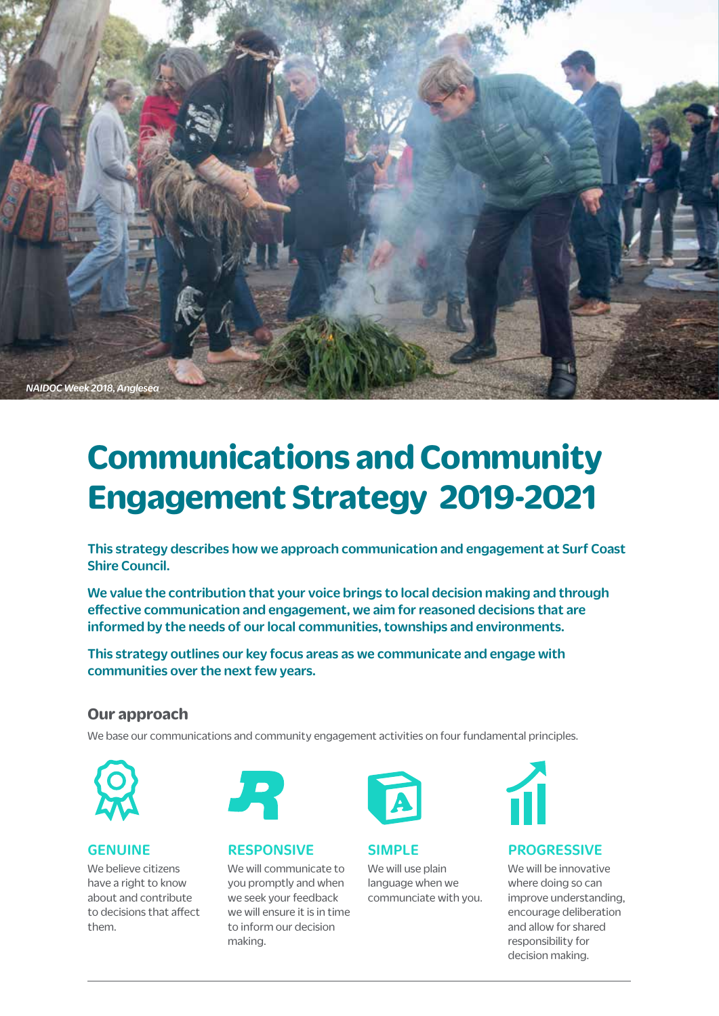

# **Communications and Community Engagement Strategy 2019-2021**

This strategy describes how we approach communication and engagement at Surf Coast Shire Council.

We value the contribution that your voice brings to local decision making and through effective communication and engagement, we aim for reasoned decisions that are informed by the needs of our local communities, townships and environments.

This strategy outlines our key focus areas as we communicate and engage with communities over the next few years.

### **Our approach**

We base our communications and community engagement activities on four fundamental principles.



### GENUINE

We believe citizens have a right to know about and contribute to decisions that affect them.



#### RESPONSIVE

We will communicate to you promptly and when we seek your feedback we will ensure it is in time to inform our decision making.



SIMPLE

We will use plain language when we communciate with you.



### PROGRESSIVE

We will be innovative where doing so can improve understanding, encourage deliberation and allow for shared responsibility for decision making.